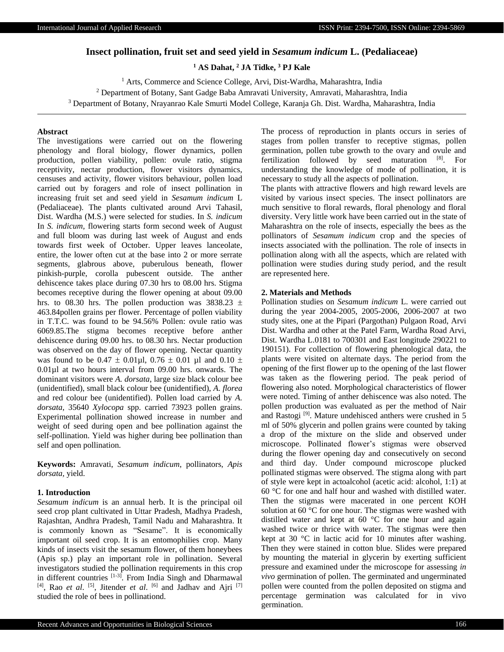# **Insect pollination, fruit set and seed yield in** *Sesamum indicum* **L. (Pedaliaceae)**

**<sup>1</sup> AS Dahat, <sup>2</sup> JA Tidke, <sup>3</sup> PJ Kale**

<sup>1</sup> Arts, Commerce and Science College, Arvi, Dist-Wardha, Maharashtra, India <sup>2</sup> Department of Botany, Sant Gadge Baba Amravati University, Amravati, Maharashtra, India <sup>3</sup> Department of Botany, Nrayanrao Kale Smurti Model College, Karanja Gh. Dist. Wardha, Maharashtra, India

# **Abstract**

The investigations were carried out on the flowering phenology and floral biology, flower dynamics, pollen production, pollen viability, pollen: ovule ratio, stigma receptivity, nectar production, flower visitors dynamics, censuses and activity, flower visitors behaviour, pollen load carried out by foragers and role of insect pollination in increasing fruit set and seed yield in *Sesamum indicum* L (Pedaliaceae). The plants cultivated around Arvi Tahasil, Dist. Wardha (M.S.) were selected for studies. In *S. indicum* In *S. indicum,* flowering starts form second week of August and full bloom was during last week of August and ends towards first week of October. Upper leaves lanceolate, entire, the lower often cut at the base into 2 or more serrate segments, glabrous above, puberulous beneath, flower pinkish-purple, corolla pubescent outside. The anther dehiscence takes place during 07.30 hrs to 08.00 hrs. Stigma becomes receptive during the flower opening at about 09.00 hrs. to 08.30 hrs. The pollen production was 3838.23  $\pm$ 463.84pollen grains per flower. Percentage of pollen viability in T.T.C. was found to be 94.56% Pollen: ovule ratio was 6069.85.The stigma becomes receptive before anther dehiscence during 09.00 hrs. to 08.30 hrs. Nectar production was observed on the day of flower opening. Nectar quantity was found to be  $0.47 \pm 0.01 \mu$ l,  $0.76 \pm 0.01 \mu$ l and  $0.10 \pm 0.01 \mu$ 0.01µl at two hours interval from 09.00 hrs. onwards. The dominant visitors were *A. dorsata,* large size black colour bee (unidentified), small black colour bee (unidentified), *A. florea* and red colour bee (unidentified). Pollen load carried by *A. dorsata*, 35640 *Xylocopa* spp. carried 73923 pollen grains. Experimental pollination showed increase in number and weight of seed during open and bee pollination against the self-pollination. Yield was higher during bee pollination than self and open pollination.

**Keywords:** Amravati, *Sesamum indicum*, pollinators, *Apis dorsata,* yield.

#### **1. Introduction**

*Sesamum indicum* is an annual herb. It is the principal oil seed crop plant cultivated in Uttar Pradesh, Madhya Pradesh, Rajashtan, Andhra Pradesh, Tamil Nadu and Maharashtra. It is commonly known as "Sesame". It is economically important oil seed crop. It is an entomophilies crop. Many kinds of insects visit the sesamum flower, of them honeybees (Apis sp.) play an important role in pollination. Several investigators studied the pollination requirements in this crop in different countries [1-3]. From India Singh and Dharmawal [4], Rao *et al*. [5], Jitender *et al*. [6] and Jadhav and Ajri [7] studied the role of bees in pollinationd.

The process of reproduction in plants occurs in series of stages from pollen transfer to receptive stigmas, pollen germination, pollen tube growth to the ovary and ovule and fertilization followed by seed maturation [8]. For understanding the knowledge of mode of pollination, it is necessary to study all the aspects of pollination.

The plants with attractive flowers and high reward levels are visited by various insect species. The insect pollinators are much sensitive to floral rewards, floral phenology and floral diversity. Very little work have been carried out in the state of Maharashtra on the role of insects, especially the bees as the pollinators of *Sesamum indicum* crop and the species of insects associated with the pollination. The role of insects in pollination along with all the aspects, which are related with pollination were studies during study period, and the result are represented here.

#### **2. Materials and Methods**

Pollination studies on *Sesamum indicum* L. were carried out during the year 2004-2005, 2005-2006, 2006-2007 at two study sites, one at the Pipari (Pargothan) Pulgaon Road, Arvi Dist. Wardha and other at the Patel Farm, Wardha Road Arvi, Dist. Wardha L.0181 to 700301 and East longitude 290221 to 190151). For collection of flowering phenological data, the plants were visited on alternate days. The period from the opening of the first flower up to the opening of the last flower was taken as the flowering period. The peak period of flowering also noted. Morphological characteristics of flower were noted. Timing of anther dehiscence was also noted. The pollen production was evaluated as per the method of Nair and Rastogi [9]. Mature undehisced anthers were crushed in 5 ml of 50% glycerin and pollen grains were counted by taking a drop of the mixture on the slide and observed under microscope. Pollinated flower's stigmas were observed during the flower opening day and consecutively on second and third day. Under compound microscope plucked pollinated stigmas were observed. The stigma along with part of style were kept in actoalcohol (acetic acid: alcohol, 1:1) at 60 °C for one and half hour and washed with distilled water. Then the stigmas were macerated in one percent KOH solution at 60 °C for one hour. The stigmas were washed with distilled water and kept at 60 °C for one hour and again washed twice or thrice with water. The stigmas were then kept at 30 °C in lactic acid for 10 minutes after washing. Then they were stained in cotton blue. Slides were prepared by mounting the material in glycerin by exerting sufficient pressure and examined under the microscope for assessing *in vivo* germination of pollen. The germinated and ungerminated pollen were counted from the pollen deposited on stigma and percentage germination was calculated for in vivo germination.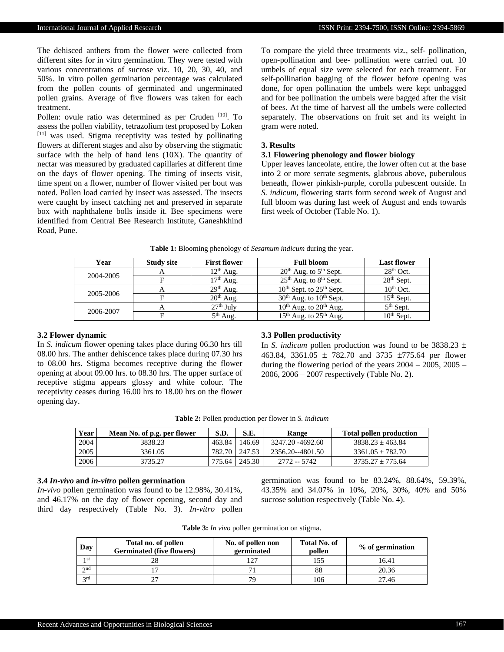The dehisced anthers from the flower were collected from different sites for in vitro germination. They were tested with various concentrations of sucrose viz. 10, 20, 30, 40, and 50%. In vitro pollen germination percentage was calculated from the pollen counts of germinated and ungerminated pollen grains. Average of five flowers was taken for each treatment.

Pollen: ovule ratio was determined as per Cruden [10]. To assess the pollen viability, tetrazolium test proposed by Loken [11] was used. Stigma receptivity was tested by pollinating flowers at different stages and also by observing the stigmatic surface with the help of hand lens (10X). The quantity of nectar was measured by graduated capillaries at different time on the days of flower opening. The timing of insects visit, time spent on a flower, number of flower visited per bout was noted. Pollen load carried by insect was assessed. The insects were caught by insect catching net and preserved in separate box with naphthalene bolls inside it. Bee specimens were identified from Central Bee Research Institute, Ganeshkhind Road, Pune.

To compare the yield three treatments viz., self- pollination, open-pollination and bee- pollination were carried out. 10 umbels of equal size were selected for each treatment. For self-pollination bagging of the flower before opening was done, for open pollination the umbels were kept unbagged and for bee pollination the umbels were bagged after the visit of bees. At the time of harvest all the umbels were collected separately. The observations on fruit set and its weight in gram were noted.

#### **3. Results**

## **3.1 Flowering phenology and flower biology**

Upper leaves lanceolate, entire, the lower often cut at the base into 2 or more serrate segments, glabrous above, puberulous beneath, flower pinkish-purple, corolla pubescent outside. In *S. indicum,* flowering starts form second week of August and full bloom was during last week of August and ends towards first week of October (Table No. 1).

| Year      | <b>Study site</b> | <b>First flower</b> | <b>Full bloom</b>                              | <b>Last flower</b> |
|-----------|-------------------|---------------------|------------------------------------------------|--------------------|
| 2004-2005 |                   | $12th$ Aug.         | $20th$ Aug. to $5th$ Sept.                     | $28th$ Oct.        |
|           |                   | $17th$ Aug.         | $25th$ Aug. to $8th$ Sept.                     | $28th$ Sept.       |
| 2005-2006 | А                 | $29th$ Aug.         | $10^{th}$ Sept. to $25^{th}$ Sept.             | $10th$ Oct.        |
|           |                   | $20th$ Aug.         | $30th$ Aug. to $10th$ Sept.                    | $15th$ Sept.       |
| 2006-2007 |                   | $27th$ July         | 10 <sup>th</sup> Aug. to 20 <sup>th</sup> Aug. | $5th$ Sept.        |
|           |                   | $5th$ Aug.          | $15th$ Aug. to $25th$ Aug.                     | $10th$ Sept.       |

**Table 1:** Blooming phenology of *Sesamum indicum* during the year.

# **3.2 Flower dynamic**

In *S. indicum* flower opening takes place during 06.30 hrs till 08.00 hrs. The anther dehiscence takes place during 07.30 hrs to 08.00 hrs. Stigma becomes receptive during the flower opening at about 09.00 hrs. to 08.30 hrs. The upper surface of receptive stigma appears glossy and white colour. The receptivity ceases during 16.00 hrs to 18.00 hrs on the flower opening day.

# **3.3 Pollen productivity**

In *S. indicum* pollen production was found to be  $3838.23 \pm$ 463.84, 3361.05  $\pm$  782.70 and 3735  $\pm$ 775.64 per flower during the flowering period of the years  $2004 - 2005$ ,  $2005 -$ 2006, 2006 – 2007 respectively (Table No. 2).

| <b>Table 2:</b> Pollen production per flower in S. indicum |  |  |  |  |
|------------------------------------------------------------|--|--|--|--|
|------------------------------------------------------------|--|--|--|--|

| Year | Mean No. of p.g. per flower | S.D.   | S.E.            | Range            | <b>Total pollen production</b> |
|------|-----------------------------|--------|-----------------|------------------|--------------------------------|
| 2004 | 3838.23                     | 463.84 | 146.69          | 3247.20 -4692.60 | $3838.23 + 463.84$             |
| 2005 | 3361.05                     |        | 782.70   247.53 | 2356.20--4801.50 | $3361.05 + 782.70$             |
| 2006 | 3735.27                     | 775.64 | 245.30          | 2772 -- 5742     | $3735.27 + 775.64$             |

## **3.4** *In-vivo* **and** *in-vitro* **pollen germination**

*In-vivo* pollen germination was found to be 12.98%, 30.41%, and 46.17% on the day of flower opening, second day and third day respectively (Table No. 3). *In-vitro* pollen

germination was found to be 83.24%, 88.64%, 59.39%, 43.35% and 34.07% in 10%, 20%, 30%, 40% and 50% sucrose solution respectively (Table No. 4).

**Table 3:** *In vivo* pollen germination on stigma.

| Day             | Total no. of pollen<br><b>Germinated (five flowers)</b> | No. of pollen non<br>germinated | <b>Total No. of</b><br>pollen | % of germination |
|-----------------|---------------------------------------------------------|---------------------------------|-------------------------------|------------------|
| 1 <sub>st</sub> | 28                                                      |                                 | 155                           | 16.41            |
| 2nd             |                                                         |                                 | 88                            | 20.36            |
| 2rd             | ጎግ                                                      | 70                              | 106                           | 27.46            |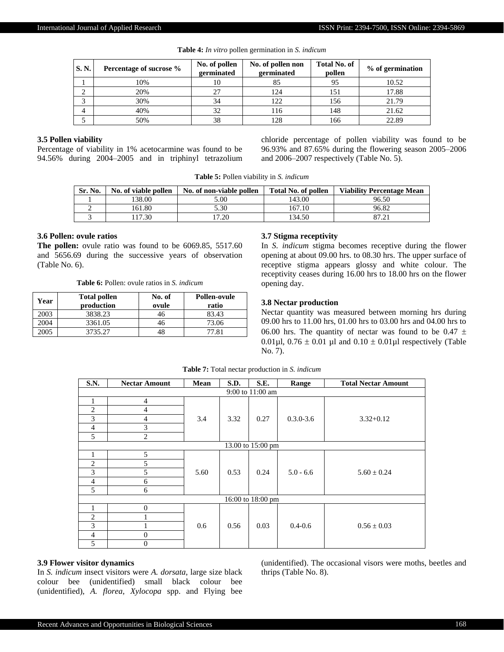| S. N. | Percentage of sucrose % | No. of pollen<br>germinated | No. of pollen non<br>germinated | <b>Total No. of</b><br>pollen | % of germination |
|-------|-------------------------|-----------------------------|---------------------------------|-------------------------------|------------------|
|       | 10%                     | 10                          | 85                              |                               | 10.52            |
|       | 20%                     | 27                          | 124                             | 151                           | 17.88            |
|       | 30%                     | 34                          | 122                             | 156                           | 21.79            |
| 4     | 40%                     | 32                          | 116                             | 148                           | 21.62            |
|       | 50%                     | 38                          | 128                             | 166                           | 22.89            |

**Table 4:** *In vitro* pollen germination in *S. indicum*

## **3.5 Pollen viability**

Percentage of viability in 1% acetocarmine was found to be 94.56% during 2004–2005 and in triphinyl tetrazolium chloride percentage of pollen viability was found to be 96.93% and 87.65% during the flowering season 2005–2006 and 2006–2007 respectively (Table No. 5).

**Table 5:** Pollen viability in *S. indicum*

| Sr. No. | No. of viable pollen | No. of non-viable pollen | <b>Total No. of pollen</b> | <b>Viability Percentage Mean</b> |
|---------|----------------------|--------------------------|----------------------------|----------------------------------|
|         | 38.00                | 5.00                     | 143.00                     | 96.50                            |
|         | 61.80                | 5.30                     | 167.10                     | 96.82                            |
|         | 7.30                 | 17.20                    | 134.50                     |                                  |

## **3.6 Pollen: ovule ratios**

**The pollen:** ovule ratio was found to be 6069.85, 5517.60 and 5656.69 during the successive years of observation (Table No. 6).

**Table 6:** Pollen: ovule ratios in *S. indicum*

| Year | <b>Total pollen</b><br>production | No. of<br>ovule | Pollen-ovule<br>ratio |
|------|-----------------------------------|-----------------|-----------------------|
| 2003 | 3838.23                           | 46              | 83.43                 |
| 2004 | 3361.05                           | 46              | 73.06                 |
| 2005 | 3735.27                           | 48              | 77 81                 |

#### **3.7 Stigma receptivity**

In *S. indicum* stigma becomes receptive during the flower opening at about 09.00 hrs. to 08.30 hrs. The upper surface of receptive stigma appears glossy and white colour. The receptivity ceases during 16.00 hrs to 18.00 hrs on the flower opening day.

## **3.8 Nectar production**

Nectar quantity was measured between morning hrs during 09.00 hrs to 11.00 hrs, 01.00 hrs to 03.00 hrs and 04.00 hrs to 06.00 hrs. The quantity of nectar was found to be 0.47  $\pm$ 0.01 $\mu$ l, 0.76  $\pm$  0.01  $\mu$ l and 0.10  $\pm$  0.01 $\mu$ l respectively (Table No. 7).

| S.N.              | <b>Nectar Amount</b> | Mean | S.D. | S.E.              | Range         | <b>Total Nectar Amount</b> |
|-------------------|----------------------|------|------|-------------------|---------------|----------------------------|
|                   |                      |      |      | 9:00 to 11:00 am  |               |                            |
| $\mathbf{1}$      | $\overline{4}$       |      |      |                   |               |                            |
| $\mathbf{2}$      | 4                    |      |      |                   |               |                            |
| 3                 | 4                    | 3.4  | 3.32 | 0.27              | $0.3.0 - 3.6$ | $3.32 + 0.12$              |
| $\overline{4}$    | 3                    |      |      |                   |               |                            |
| 5                 | $\overline{2}$       |      |      |                   |               |                            |
| 13.00 to 15:00 pm |                      |      |      |                   |               |                            |
| 1                 | 5                    |      |      |                   |               |                            |
| 2                 | 5                    |      |      |                   |               |                            |
| 3                 | 5                    | 5.60 | 0.53 | 0.24              | $5.0 - 6.6$   | $5.60 \pm 0.24$            |
| $\overline{4}$    | 6                    |      |      |                   |               |                            |
| 5                 | 6                    |      |      |                   |               |                            |
|                   |                      |      |      | 16:00 to 18:00 pm |               |                            |
|                   | $\overline{0}$       |      |      |                   |               |                            |
| $\overline{2}$    |                      |      |      |                   |               |                            |
| 3                 |                      | 0.6  | 0.56 | 0.03              | $0.4 - 0.6$   | $0.56 \pm 0.03$            |
| $\overline{4}$    | 0                    |      |      |                   |               |                            |
| 5                 | $\mathbf{0}$         |      |      |                   |               |                            |

**Table 7:** Total nectar production in *S. indicum*

#### **3.9 Flower visitor dynamics**

In *S. indicum* insect visitors were *A. dorsata*, large size black colour bee (unidentified) small black colour bee (unidentified), *A. florea*, *Xylocopa* spp. and Flying bee (unidentified). The occasional visors were moths, beetles and thrips (Table No. 8).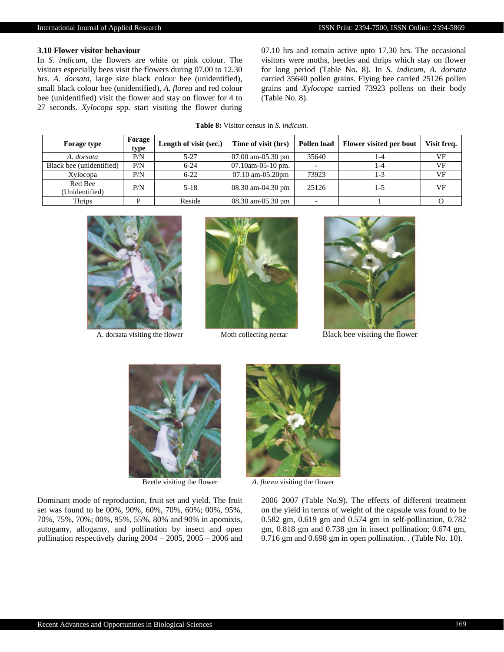# **3.10 Flower visitor behaviour**

In *S. indicum,* the flowers are white or pink colour. The visitors especially bees visit the flowers during 07.00 to 12.30 hrs. *A. dorsata,* large size black colour bee (unidentified), small black colour bee (unidentified), *A. florea* and red colour bee (unidentified) visit the flower and stay on flower for 4 to 27 seconds. *Xylocopa* spp. start visiting the flower during 07.10 hrs and remain active upto 17.30 hrs. The occasional visitors were moths, beetles and thrips which stay on flower for long period (Table No. 8). In *S. indicum, A. dorsata*  carried 35640 pollen grains. Flying bee carried 25126 pollen grains and *Xylocopa* carried 73923 pollens on their body (Table No. 8).

| <b>Table 8:</b> Visitor census in S. <i>indicum</i> . |  |
|-------------------------------------------------------|--|
|-------------------------------------------------------|--|

| <b>Forage type</b>        | Forage<br>type | Length of visit (sec.) | Time of visit (hrs)    | Pollen load | Flower visited per bout | Visit freq. |
|---------------------------|----------------|------------------------|------------------------|-------------|-------------------------|-------------|
| A. dorsata                | P/N            | $5 - 27$               | $07.00$ am- $05.30$ pm | 35640       | 1-4                     | VF          |
| Black bee (unidentified)  | P/N            | $6 - 24$               | $07.10$ am-05-10 pm.   |             | 1-4                     | VF          |
| Xylocopa                  | P/N            | $6 - 22$               | $07.10$ am- $05.20$ pm | 73923       | 1-3                     | VF          |
| Red Bee<br>(Unidentified) | P/N            | $5 - 18$               | 08.30 am-04.30 pm      | 25126       | $1 - 5$                 | VF          |
| Thrips                    |                | Reside                 | 08.30 am-05.30 pm      |             |                         |             |







A. dorsata visiting the flower Moth collecting nectar Black bee visiting the flower



Beetle visiting the flower *A. florea* visiting the flower

Dominant mode of reproduction, fruit set and yield. The fruit set was found to be 00%, 90%, 60%, 70%, 60%; 00%, 95%, 70%, 75%, 70%; 00%, 95%, 55%, 80% and 90% in apomixis, autogamy, allogamy, and pollination by insect and open pollination respectively during  $2004 - 2005$ ,  $2005 - 2006$  and



2006–2007 (Table No.9). The effects of different treatment on the yield in terms of weight of the capsule was found to be 0.582 gm, 0.619 gm and 0.574 gm in self-pollination, 0.782 gm, 0.818 gm and 0.738 gm in insect pollination; 0.674 gm, 0.716 gm and 0.698 gm in open pollination. . (Table No. 10).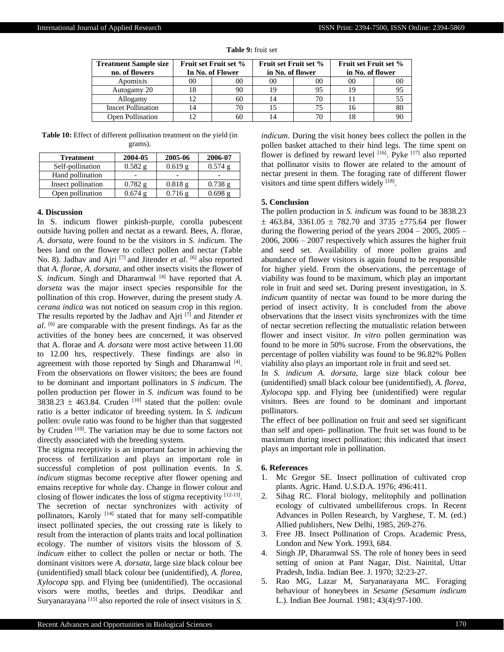| <b>Treatment Sample size</b><br>no. of flowers | <b>Fruit set Fruit set %</b><br>In No. of Flower |    | <b>Fruit set Fruit set %</b><br>in No. of flower |    | <b>Fruit set Fruit set %</b><br>in No. of flower |    |
|------------------------------------------------|--------------------------------------------------|----|--------------------------------------------------|----|--------------------------------------------------|----|
| Apomixis                                       |                                                  | 00 | 00                                               | 00 | 00                                               | 00 |
| Autogamy 20                                    |                                                  | 90 | 19                                               | 95 |                                                  | 95 |
| Allogamy                                       |                                                  | 60 | 14                                               | 70 |                                                  |    |
| <b>Inscet Pollination</b>                      | 4                                                |    |                                                  |    |                                                  | 80 |
| Open Pollination                               |                                                  | 60 | 14                                               |    |                                                  | 90 |

**Table 9:** fruit set

**Table 10:** Effect of different pollination treatment on the yield (in grams).

| <b>Treatment</b>   | 2004-05   | 2005-06      | 2006-07           |
|--------------------|-----------|--------------|-------------------|
| Self-pollination   | $0.582$ g | 0.619g       | $0.574$ g         |
| Hand pollination   |           |              |                   |
| Insect pollination | 0.782 g   | 0.818g       | 0.738g            |
| Open pollination   | 0.674g    | $0.716 \; g$ | $0.698 \text{ g}$ |

#### **4. Discussion**

In S. indicum flower pinkish-purple, corolla pubescent outside having pollen and nectat as a reward. Bees, A. florae, *A. dorsata*, were found to be the visitors in *S. indicum*. The bees land on the flower to collect pollen and nectar (Table No. 8). Jadhav and Ajri<sup>[7]</sup> and Jitender *et al*. <sup>[6]</sup> also reported that *A. florae*, *A. dorsata*, and other insects visits the flower of *S. indicum*. Singh and Dharamwal [4] have reported that *A. dorseta* was the major insect species responsible for the pollination of this crop. However, during the present study *A. cerana indica* was not noticed on seasum crop in this region. The results reported by the Jadhav and Ajri [7] and Jitender *et al*. [6] are comparable with the present findings. As far as the activities of the honey bees are concerned, it was observed that A. florae and *A. dorsata* were most active between 11.00 to 12.00 hrs, respectively. These findings are also in agreement with those reported by Singh and Dharamwal<sup>[4]</sup>. From the observations on flower visitors; the bees are found to be dominant and important pollinators in *S indicum*. The pollen production per flower in *S. indicum* was found to be 3838.23  $\pm$  463.84. Cruden <sup>[10]</sup> stated that the pollen: ovule ratio is a better indicator of breeding system. In *S. indicum* pollen: ovule ratio was found to be higher than that suggested by Cruden <sup>[10]</sup>. The variation may be due to some factors not directly associated with the breeding system.

The stigma receptivity is an important factor in achieving the process of fertilization and plays an important role in successful completion of post pollination events. In *S. indicum* stigmas become receptive after flower opening and emains receptive for whole day. Change in flower colour and closing of flower indicates the loss of stigma receptivity [12-13]. The secretion of nectar synchronizes with activity of pollinators, Karoly<sup>[14]</sup> stated that for many self-compatible insect pollinated species, the out crossing rate is likely to result from the interaction of plants traits and local pollination ecology. The number of visitors visits the blossom of *S. indicum* either to collect the pollen or nectar or both. The dominant visitors were *A. dorsata*, large size black colour bee (unidentified) small black colour bee (unidentified), *A. florea*, *Xylocopa* spp. and Flying bee (unidentified). The occasional visors were moths, beetles and thrips. Deodikar and Suryanarayana [15] also reported the role of insect visitors in *S.* 

*indicum*. During the visit honey bees collect the pollen in the pollen basket attached to their hind legs. The time spent on flower is defined by reward level [16]. Pyke [17] also reported that pollinator visits to flower are related to the amount of nectar present in them. The foraging rate of different flower visitors and time spent differs widely [18].

#### **5. Conclusion**

The pollen production in *S. indicum* was found to be 3838.23  $\pm$  463.84, 3361.05  $\pm$  782.70 and 3735  $\pm$ 775.64 per flower during the flowering period of the years 2004 – 2005, 2005 – 2006, 2006 – 2007 respectively which assures the higher fruit and seed set. Availability of more pollen grains and abundance of flower visitors is again found to be responsible for higher yield. From the observations, the percentage of viability was found to be maximum, which play an important role in fruit and seed set. During present investigation, in *S. indicum* quantity of nectar was found to be more during the period of insect activity. It is concluded from the above observations that the insect visits synchronizes with the time of nectar secretion reflecting the mutualistic relation between flower and insect visitor. *In vitro* pollen germination was found to be more in 50% sucrose. From the observations, the percentage of pollen viability was found to be 96.82% Pollen viability also plays an important role in fruit and seed set.

In *S. indicum A. dorsata*, large size black colour bee (unidentified) small black colour bee (unidentified), *A. florea*, *Xylocopa* spp. and Flying bee (unidentified) were regular visitors. Bees are found to be dominant and important pollinators.

The effect of bee pollination on fruit and seed set significant than self and open- pollination. The fruit set was found to be maximum during insect pollination; this indicated that insect plays an important role in pollination.

#### **6. References**

- 1. Mc Gregor SE. Insect pollination of cultivated crop plants. Agric. Hand. U.S.D.A. 1976; 496:411.
- 2. Sihag RC. Floral biology, melitophily and pollination ecology of cultivated umbelliferous crops. In Recent Advances in Pollen Research, by Varghese, T. M. (ed.) Allied publishers, New Delhi, 1985, 269-276.
- 3. Free JB. Insect Pollination of Crops. Academic Press, London and New York. 1993, 684.
- 4. Singh JP, Dharamwal SS. The role of honey bees in seed setting of onion at Pant Nagar, Dist. Nainital, Uttar Pradesh, India. Indian Bee. J. 1970; 32:23-27.
- 5. Rao MG, Lazar M, Suryanarayana MC. Foraging behaviour of honeybees in *Sesame (Sesamum indicum* L.). Indian Bee Journal*.* 1981; 43(4):97-100.